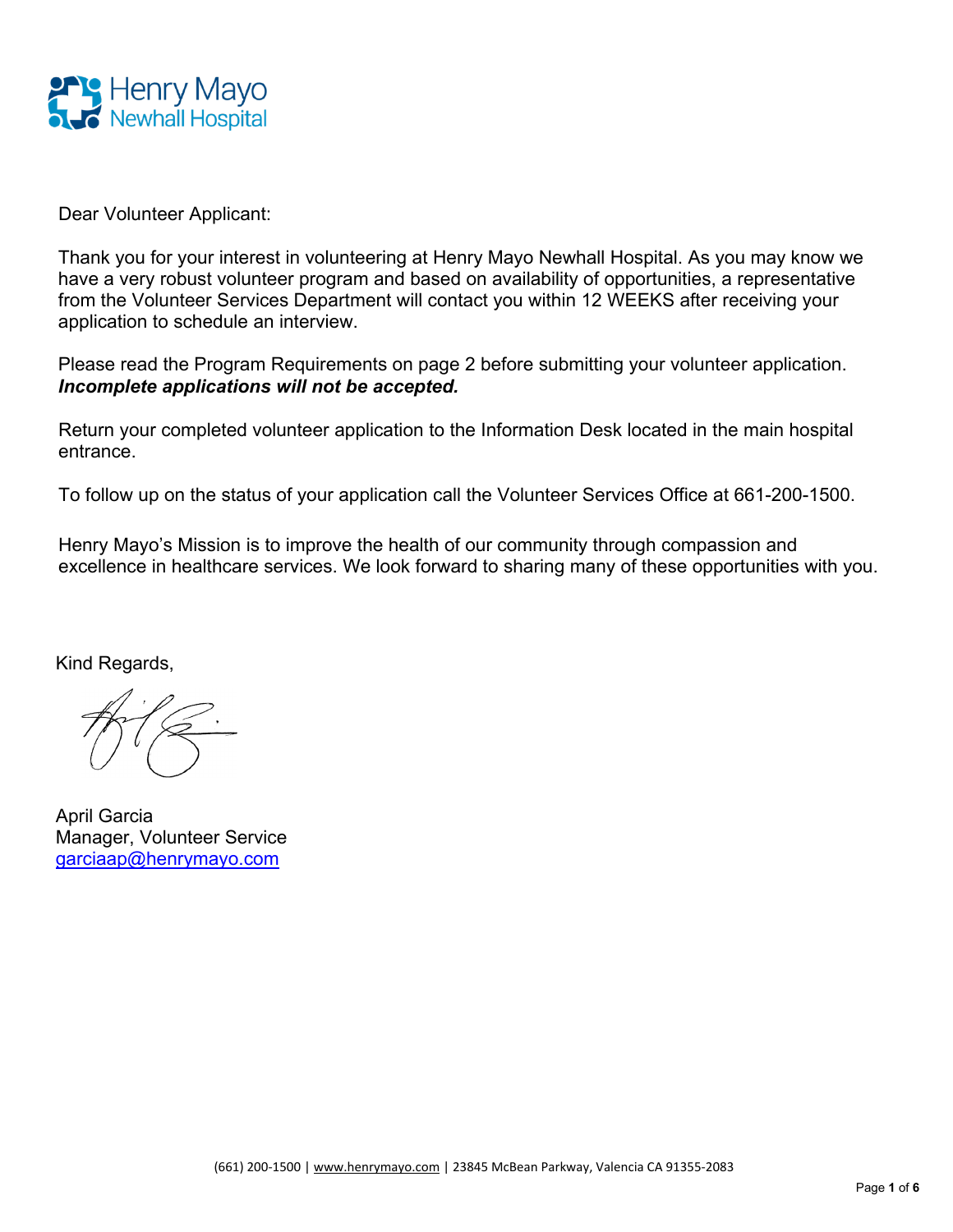

Dear Volunteer Applicant:

Thank you for your interest in volunteering at Henry Mayo Newhall Hospital. As you may know we have a very robust volunteer program and based on availability of opportunities, a representative from the Volunteer Services Department will contact you within 12 WEEKS after receiving your application to schedule an interview.

Please read the Program Requirements on page 2 before submitting your volunteer application. *Incomplete applications will not be accepted.*

Return your completed volunteer application to the Information Desk located in the main hospital entrance.

To follow up on the status of your application call the Volunteer Services Office at 661-200-1500.

Henry Mayo's Mission is to improve the health of our community through compassion and excellence in healthcare services. We look forward to sharing many of these opportunities with you.

Kind Regards,

April Garcia Manager, Volunteer Service [garciaap@henrymayo.com](mailto:garciaap@henrymayo.com)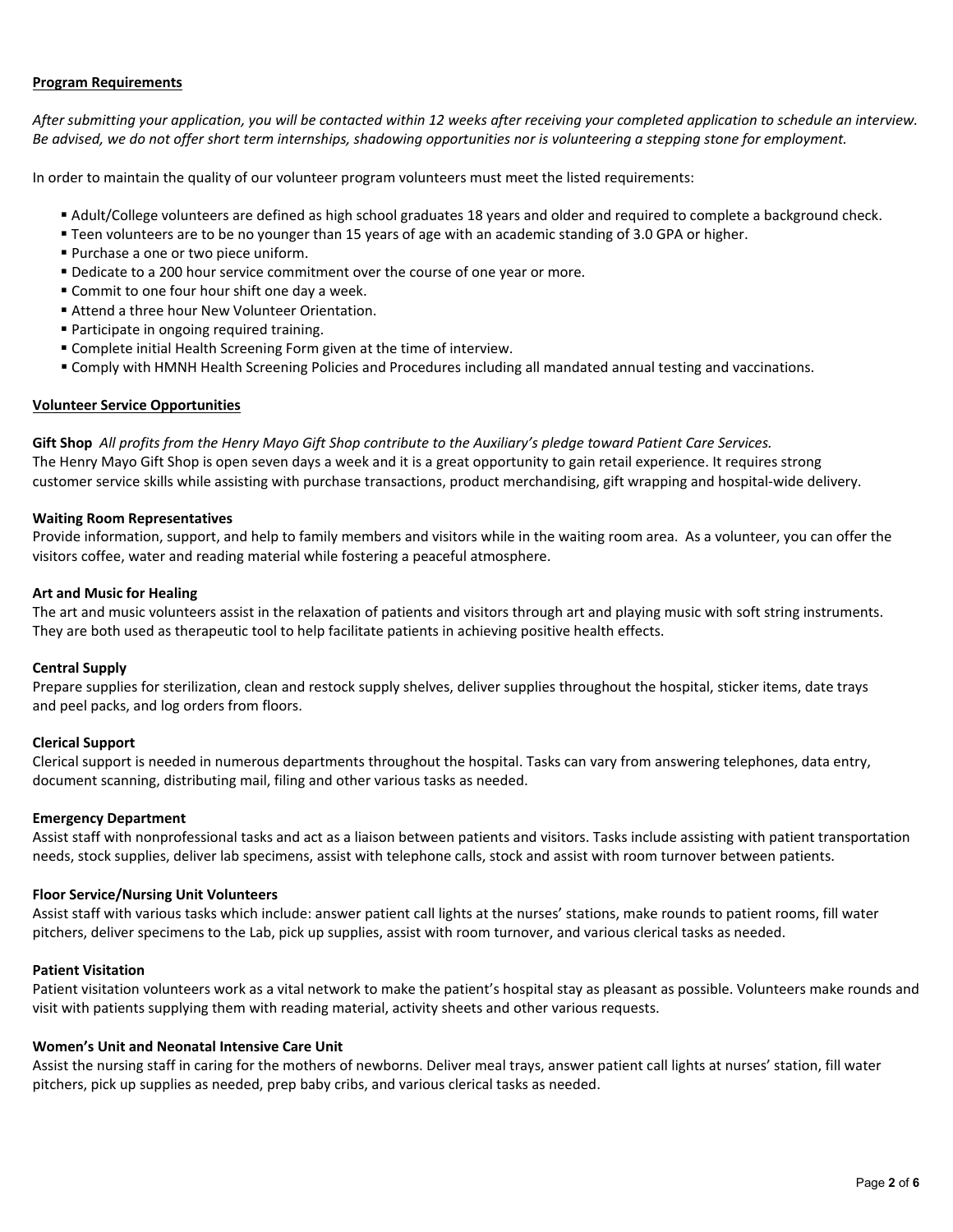#### **Program Requirements**

*After submitting your application, you will be contacted within 12 weeks after receiving your completed application to schedule an interview. Be advised, we do not offer short term internships, shadowing opportunities nor is volunteering a stepping stone for employment.* 

In order to maintain the quality of our volunteer program volunteers must meet the listed requirements:

- Adult/College volunteers are defined as high school graduates 18 years and older and required to complete a background check.
- Teen volunteers are to be no younger than 15 years of age with an academic standing of 3.0 GPA or higher.
- **Purchase a one or two piece uniform.**
- **Dedicate to a 200 hour service commitment over the course of one year or more.**
- **Commit to one four hour shift one day a week.**
- Attend a three hour New Volunteer Orientation.
- Participate in ongoing required training.
- Complete initial Health Screening Form given at the time of interview.
- Comply with HMNH Health Screening Policies and Procedures including all mandated annual testing and vaccinations.

#### **Volunteer Service Opportunities**

**Gift Shop** *All profits from the Henry Mayo Gift Shop contribute to the Auxiliary's pledge toward Patient Care Services.* The Henry Mayo Gift Shop is open seven days a week and it is a great opportunity to gain retail experience. It requires strong customer service skills while assisting with purchase transactions, product merchandising, gift wrapping and hospital-wide delivery.

#### **Waiting Room Representatives**

Provide information, support, and help to family members and visitors while in the waiting room area. As a volunteer, you can offer the visitors coffee, water and reading material while fostering a peaceful atmosphere.

#### **Art and Music for Healing**

The art and music volunteers assist in the relaxation of patients and visitors through art and playing music with soft string instruments. They are both used as therapeutic tool to help facilitate patients in achieving positive health effects.

#### **Central Supply**

Prepare supplies for sterilization, clean and restock supply shelves, deliver supplies throughout the hospital, sticker items, date trays and peel packs, and log orders from floors.

#### **Clerical Support**

Clerical support is needed in numerous departments throughout the hospital. Tasks can vary from answering telephones, data entry, document scanning, distributing mail, filing and other various tasks as needed.

#### **Emergency Department**

Assist staff with nonprofessional tasks and act as a liaison between patients and visitors. Tasks include assisting with patient transportation needs, stock supplies, deliver lab specimens, assist with telephone calls, stock and assist with room turnover between patients.

#### **Floor Service/Nursing Unit Volunteers**

Assist staff with various tasks which include: answer patient call lights at the nurses' stations, make rounds to patient rooms, fill water pitchers, deliver specimens to the Lab, pick up supplies, assist with room turnover, and various clerical tasks as needed.

#### **Patient Visitation**

Patient visitation volunteers work as a vital network to make the patient's hospital stay as pleasant as possible. Volunteers make rounds and visit with patients supplying them with reading material, activity sheets and other various requests.

#### **Women's Unit and Neonatal Intensive Care Unit**

Assist the nursing staff in caring for the mothers of newborns. Deliver meal trays, answer patient call lights at nurses' station, fill water pitchers, pick up supplies as needed, prep baby cribs, and various clerical tasks as needed.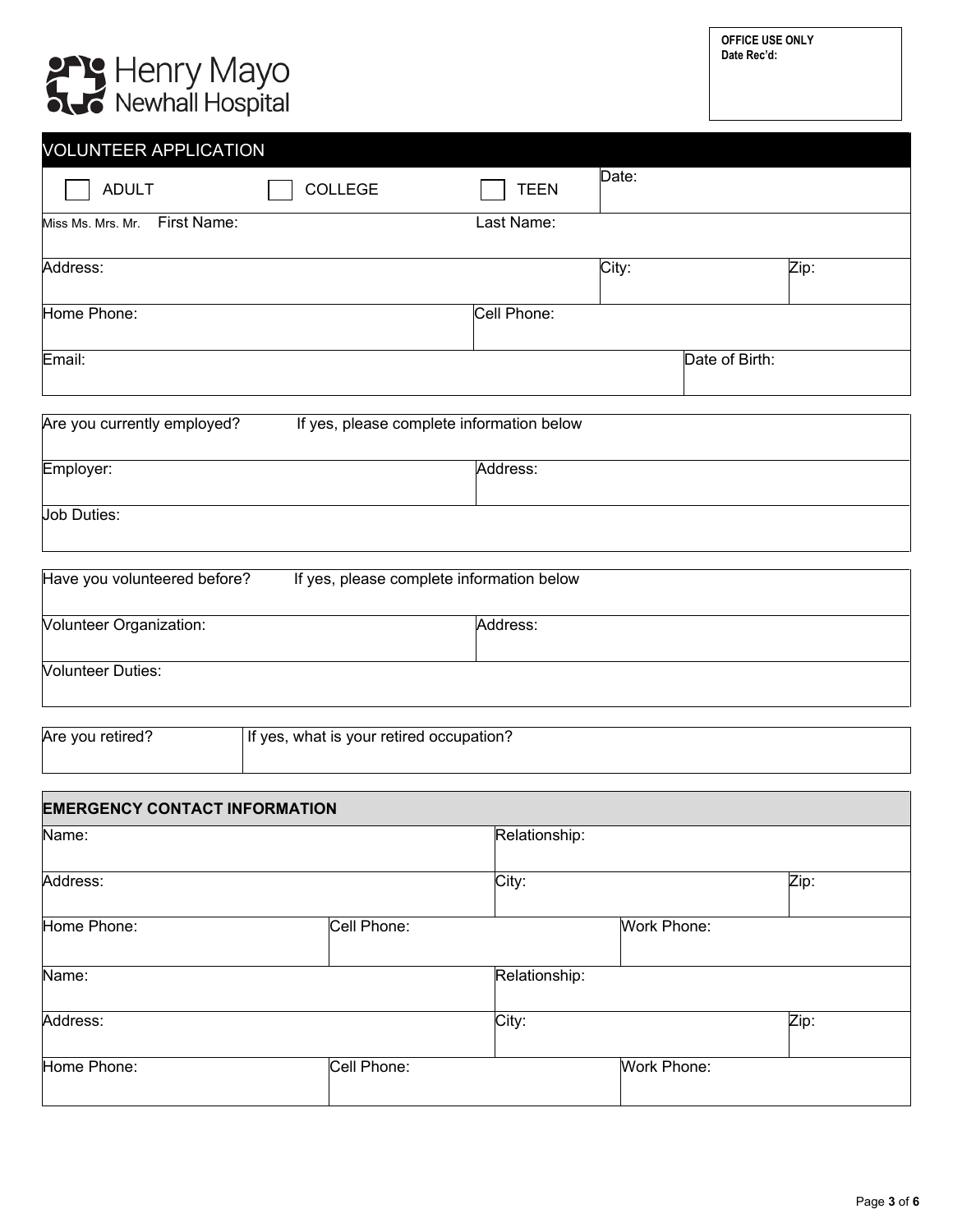# **PPP Henry Mayo**<br> **AJS** Newhall Hospital

| <b>VOLUNTEER APPLICATION</b>                                             |             |       |                |      |
|--------------------------------------------------------------------------|-------------|-------|----------------|------|
| <b>ADULT</b><br><b>COLLEGE</b>                                           | <b>TEEN</b> | Date: |                |      |
| First Name:<br>Miss Ms. Mrs. Mr.                                         | Last Name:  |       |                |      |
| Address:                                                                 |             | City: |                | Zip: |
| Home Phone:                                                              | Cell Phone: |       |                |      |
| Email:                                                                   |             |       | Date of Birth: |      |
| Are you currently employed?<br>If yes, please complete information below |             |       |                |      |
|                                                                          |             |       |                |      |

| Employer:          | Address: |
|--------------------|----------|
|                    |          |
|                    |          |
| <b>Job Duties:</b> |          |
|                    |          |
|                    |          |

| Have you volunteered before?   | If yes, please complete information below |  |  |
|--------------------------------|-------------------------------------------|--|--|
| <b>Volunteer Organization:</b> | Address:                                  |  |  |
| <b>Volunteer Duties:</b>       |                                           |  |  |

| Are you retired? | If yes, what is your retired occupation? |
|------------------|------------------------------------------|
|                  |                                          |

| <b>EMERGENCY CONTACT INFORMATION</b> |             |               |                    |      |
|--------------------------------------|-------------|---------------|--------------------|------|
| Name:                                |             | Relationship: |                    |      |
| Address:                             |             | City:         |                    | Zip: |
| Home Phone:                          | Cell Phone: |               | Work Phone:        |      |
| Name:                                |             | Relationship: |                    |      |
| Address:                             |             | City:         |                    | Zip: |
| Home Phone:                          | Cell Phone: |               | <b>Work Phone:</b> |      |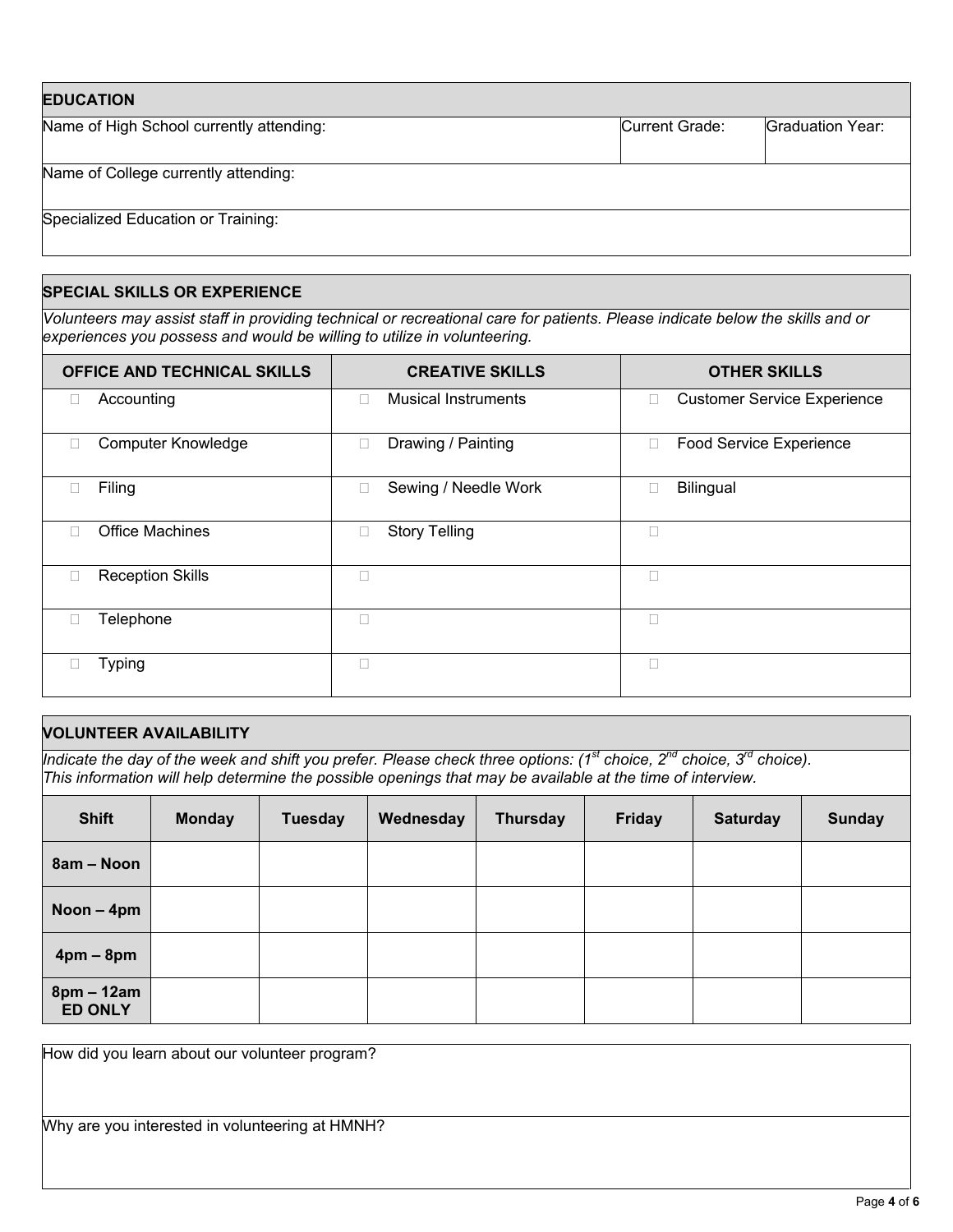| <b>EDUCATION</b>                         |                |                  |
|------------------------------------------|----------------|------------------|
| Name of High School currently attending: | Current Grade: | Graduation Year: |
| Name of College currently attending:     |                |                  |
| Specialized Education or Training:       |                |                  |

## **SPECIAL SKILLS OR EXPERIENCE**

*Volunteers may assist staff in providing technical or recreational care for patients. Please indicate below the skills and or experiences you possess and would be willing to utilize in volunteering.* 

| <b>OFFICE AND TECHNICAL SKILLS</b> | <b>CREATIVE SKILLS</b>               | <b>OTHER SKILLS</b>                     |
|------------------------------------|--------------------------------------|-----------------------------------------|
| Accounting<br>$\Box$               | <b>Musical Instruments</b><br>$\Box$ | <b>Customer Service Experience</b><br>□ |
| <b>Computer Knowledge</b><br>□     | Drawing / Painting<br>□              | <b>Food Service Experience</b><br>□     |
| Filing<br>$\Box$                   | Sewing / Needle Work<br>□            | Bilingual<br>□                          |
| <b>Office Machines</b><br>П        | <b>Story Telling</b><br>Ω            |                                         |
| <b>Reception Skills</b><br>$\Box$  | П                                    | Г                                       |
| Telephone<br>$\Box$                | П                                    | П                                       |
| <b>Typing</b><br>ш                 | П                                    |                                         |

## **VOLUNTEER AVAILABILITY**

*Indicate the day of the week and shift you prefer. Please check three options: (1st choice, 2nd choice, 3rd choice). This information will help determine the possible openings that may be available at the time of interview.*

| <b>Shift</b>                   | <b>Monday</b> | <b>Tuesday</b> | Wednesday | <b>Thursday</b> | <b>Friday</b> | <b>Saturday</b> | <b>Sunday</b> |
|--------------------------------|---------------|----------------|-----------|-----------------|---------------|-----------------|---------------|
| 8am – Noon                     |               |                |           |                 |               |                 |               |
| Noon - 4pm                     |               |                |           |                 |               |                 |               |
| $4pm - 8pm$                    |               |                |           |                 |               |                 |               |
| $8pm - 12am$<br><b>ED ONLY</b> |               |                |           |                 |               |                 |               |

How did you learn about our volunteer program?

Why are you interested in volunteering at HMNH?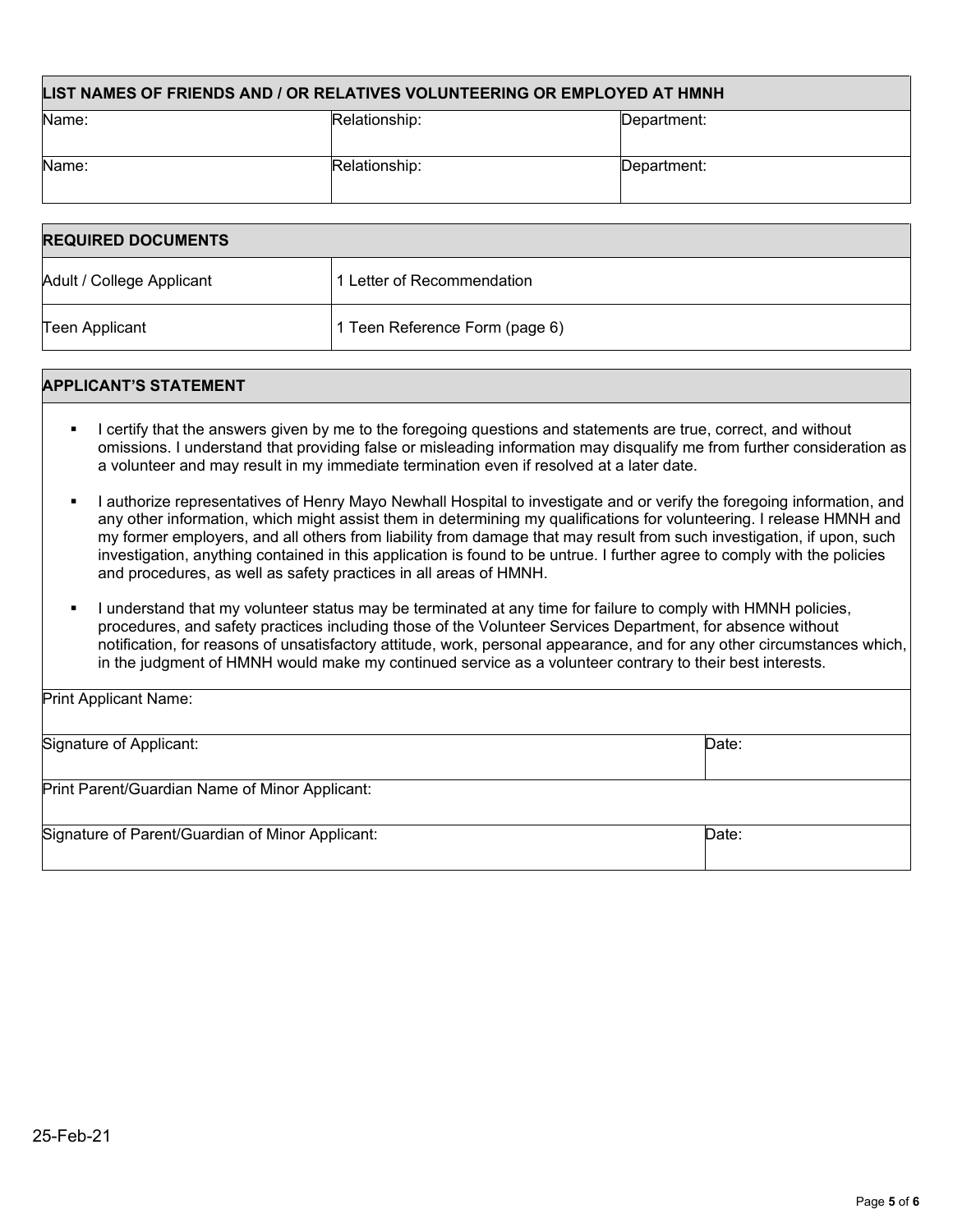| LIST NAMES OF FRIENDS AND / OR RELATIVES VOLUNTEERING OR EMPLOYED AT HMNH |               |             |  |
|---------------------------------------------------------------------------|---------------|-------------|--|
| Name:                                                                     | Relationship: | Department: |  |
| Name:                                                                     | Relationship: | Department: |  |

| <b>REQUIRED DOCUMENTS</b> |                                |  |
|---------------------------|--------------------------------|--|
| Adult / College Applicant | 1 Letter of Recommendation     |  |
| Teen Applicant            | 1 Teen Reference Form (page 6) |  |

### **APPLICANT'S STATEMENT**

Print Applicant Name:

- I certify that the answers given by me to the foregoing questions and statements are true, correct, and without omissions. I understand that providing false or misleading information may disqualify me from further consideration as a volunteer and may result in my immediate termination even if resolved at a later date.
- I authorize representatives of Henry Mayo Newhall Hospital to investigate and or verify the foregoing information, and any other information, which might assist them in determining my qualifications for volunteering. I release HMNH and my former employers, and all others from liability from damage that may result from such investigation, if upon, such investigation, anything contained in this application is found to be untrue. I further agree to comply with the policies and procedures, as well as safety practices in all areas of HMNH.
- I understand that my volunteer status may be terminated at any time for failure to comply with HMNH policies, procedures, and safety practices including those of the Volunteer Services Department, for absence without notification, for reasons of unsatisfactory attitude, work, personal appearance, and for any other circumstances which, in the judgment of HMNH would make my continued service as a volunteer contrary to their best interests.

| Signature of Applicant:                          | Date: |
|--------------------------------------------------|-------|
|                                                  |       |
| Print Parent/Guardian Name of Minor Applicant:   |       |
|                                                  |       |
| Signature of Parent/Guardian of Minor Applicant: | Date: |
|                                                  |       |